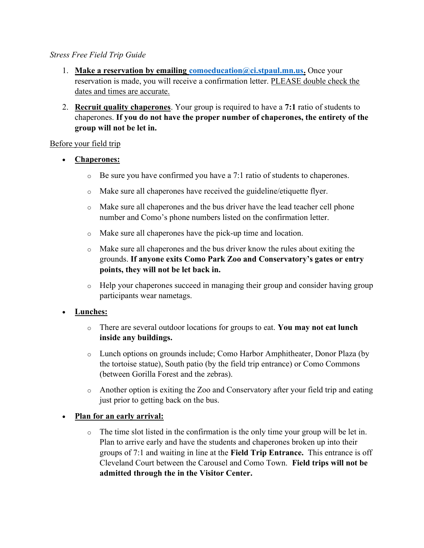#### Stress Free Field Trip Guide

- 1. Make a reservation by emailing comoeducation  $@ci.stpaul.mn.us.$  Once your reservation is made, you will receive a confirmation letter. PLEASE double check the dates and times are accurate.
- 2. **Recruit quality chaperones.** Your group is required to have a 7:1 ratio of students to chaperones. If you do not have the proper number of chaperones, the entirety of the group will not be let in.

#### Before your field trip

- Chaperones:
	- $\circ$  Be sure you have confirmed you have a 7:1 ratio of students to chaperones.
	- o Make sure all chaperones have received the guideline/etiquette flyer.
	- o Make sure all chaperones and the bus driver have the lead teacher cell phone number and Como's phone numbers listed on the confirmation letter.
	- o Make sure all chaperones have the pick-up time and location.
	- o Make sure all chaperones and the bus driver know the rules about exiting the grounds. If anyone exits Como Park Zoo and Conservatory's gates or entry points, they will not be let back in.
	- o Help your chaperones succeed in managing their group and consider having group participants wear nametags.

### Lunches:

- $\circ$  There are several outdoor locations for groups to eat. You may not eat lunch inside any buildings.
- o Lunch options on grounds include; Como Harbor Amphitheater, Donor Plaza (by the tortoise statue), South patio (by the field trip entrance) or Como Commons (between Gorilla Forest and the zebras).
- o Another option is exiting the Zoo and Conservatory after your field trip and eating just prior to getting back on the bus.

# Plan for an early arrival:

 $\circ$  The time slot listed in the confirmation is the only time your group will be let in. Plan to arrive early and have the students and chaperones broken up into their groups of 7:1 and waiting in line at the Field Trip Entrance. This entrance is off Cleveland Court between the Carousel and Como Town. Field trips will not be admitted through the in the Visitor Center.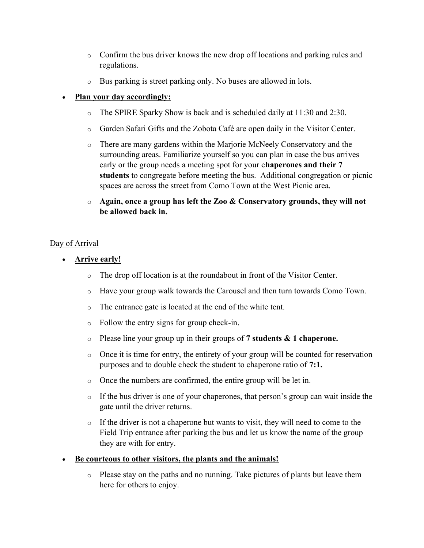- o Confirm the bus driver knows the new drop off locations and parking rules and regulations.
- o Bus parking is street parking only. No buses are allowed in lots.

# Plan your day accordingly:

- o The SPIRE Sparky Show is back and is scheduled daily at 11:30 and 2:30.
- o Garden Safari Gifts and the Zobota Café are open daily in the Visitor Center.
- o There are many gardens within the Marjorie McNeely Conservatory and the surrounding areas. Familiarize yourself so you can plan in case the bus arrives early or the group needs a meeting spot for your chaperones and their 7 students to congregate before meeting the bus. Additional congregation or picnic spaces are across the street from Como Town at the West Picnic area.
- $\circ$  Again, once a group has left the Zoo & Conservatory grounds, they will not be allowed back in.

### Day of Arrival

- Arrive early!
	- o The drop off location is at the roundabout in front of the Visitor Center.
	- o Have your group walk towards the Carousel and then turn towards Como Town.
	- o The entrance gate is located at the end of the white tent.
	- o Follow the entry signs for group check-in.
	- $\circ$  Please line your group up in their groups of 7 students & 1 chaperone.
	- $\circ$  Once it is time for entry, the entirety of your group will be counted for reservation purposes and to double check the student to chaperone ratio of 7:1.
	- o Once the numbers are confirmed, the entire group will be let in.
	- $\circ$  If the bus driver is one of your chaperones, that person's group can wait inside the gate until the driver returns.
	- $\circ$  If the driver is not a chaperone but wants to visit, they will need to come to the Field Trip entrance after parking the bus and let us know the name of the group they are with for entry.

### Be courteous to other visitors, the plants and the animals!

o Please stay on the paths and no running. Take pictures of plants but leave them here for others to enjoy.